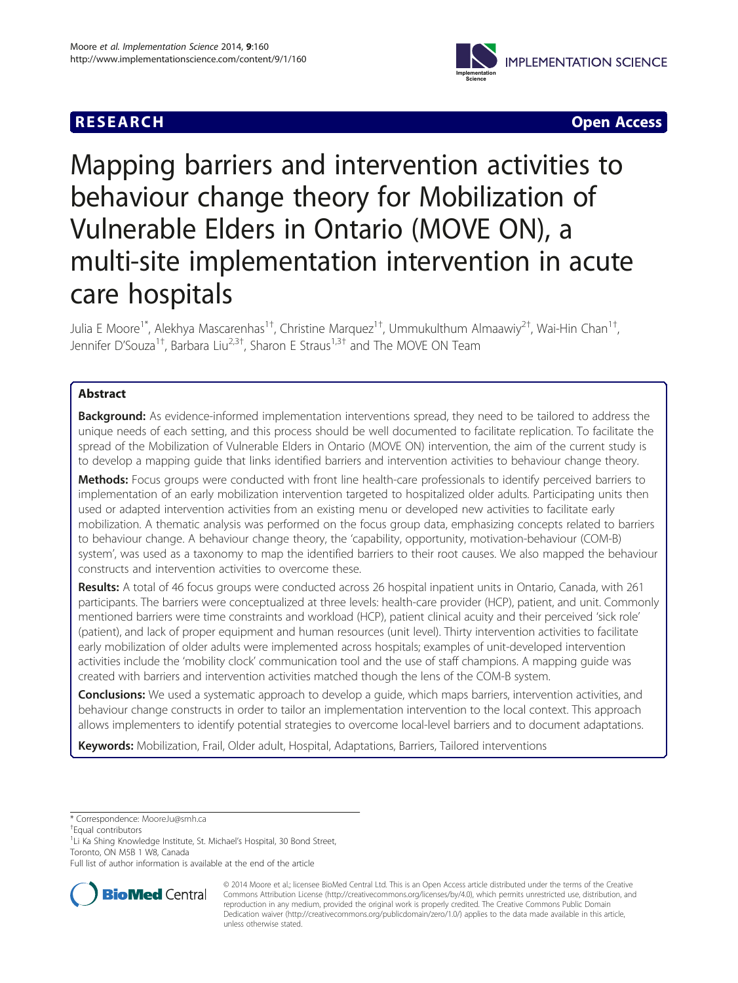# **RESEARCH RESEARCH** *CHECK <b>CHECK*



# Mapping barriers and intervention activities to behaviour change theory for Mobilization of Vulnerable Elders in Ontario (MOVE ON), a multi-site implementation intervention in acute care hospitals

Julia E Moore<sup>1\*</sup>, Alekhya Mascarenhas<sup>1†</sup>, Christine Marquez<sup>1†</sup>, Ummukulthum Almaawiy<sup>2†</sup>, Wai-Hin Chan<sup>1†</sup> , Jennifer D'Souza<sup>1†</sup>, Barbara Liu<sup>2,3†</sup>, Sharon E Straus<sup>1,3†</sup> and The MOVE ON Team

# Abstract

Background: As evidence-informed implementation interventions spread, they need to be tailored to address the unique needs of each setting, and this process should be well documented to facilitate replication. To facilitate the spread of the Mobilization of Vulnerable Elders in Ontario (MOVE ON) intervention, the aim of the current study is to develop a mapping guide that links identified barriers and intervention activities to behaviour change theory.

Methods: Focus groups were conducted with front line health-care professionals to identify perceived barriers to implementation of an early mobilization intervention targeted to hospitalized older adults. Participating units then used or adapted intervention activities from an existing menu or developed new activities to facilitate early mobilization. A thematic analysis was performed on the focus group data, emphasizing concepts related to barriers to behaviour change. A behaviour change theory, the 'capability, opportunity, motivation-behaviour (COM-B) system', was used as a taxonomy to map the identified barriers to their root causes. We also mapped the behaviour constructs and intervention activities to overcome these.

Results: A total of 46 focus groups were conducted across 26 hospital inpatient units in Ontario, Canada, with 261 participants. The barriers were conceptualized at three levels: health-care provider (HCP), patient, and unit. Commonly mentioned barriers were time constraints and workload (HCP), patient clinical acuity and their perceived 'sick role' (patient), and lack of proper equipment and human resources (unit level). Thirty intervention activities to facilitate early mobilization of older adults were implemented across hospitals; examples of unit-developed intervention activities include the 'mobility clock' communication tool and the use of staff champions. A mapping guide was created with barriers and intervention activities matched though the lens of the COM-B system.

Conclusions: We used a systematic approach to develop a quide, which maps barriers, intervention activities, and behaviour change constructs in order to tailor an implementation intervention to the local context. This approach allows implementers to identify potential strategies to overcome local-level barriers and to document adaptations.

Keywords: Mobilization, Frail, Older adult, Hospital, Adaptations, Barriers, Tailored interventions

\* Correspondence: [MooreJu@smh.ca](mailto:MooreJu@smh.ca) †

Equal contributors

<sup>1</sup>Li Ka Shing Knowledge Institute, St. Michael's Hospital, 30 Bond Street, Toronto, ON M5B 1 W8, Canada

Full list of author information is available at the end of the article



© 2014 Moore et al.; licensee BioMed Central Ltd. This is an Open Access article distributed under the terms of the Creative Commons Attribution License [\(http://creativecommons.org/licenses/by/4.0\)](http://creativecommons.org/licenses/by/4.0), which permits unrestricted use, distribution, and reproduction in any medium, provided the original work is properly credited. The Creative Commons Public Domain Dedication waiver [\(http://creativecommons.org/publicdomain/zero/1.0/](http://creativecommons.org/publicdomain/zero/1.0/)) applies to the data made available in this article, unless otherwise stated.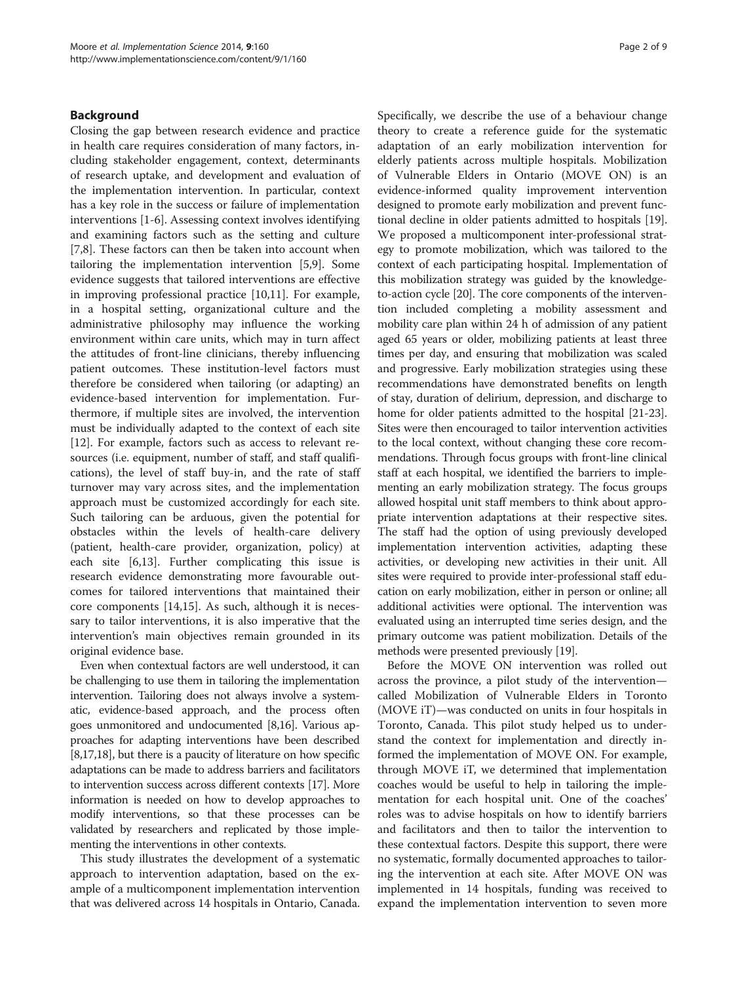#### Background

Closing the gap between research evidence and practice in health care requires consideration of many factors, including stakeholder engagement, context, determinants of research uptake, and development and evaluation of the implementation intervention. In particular, context has a key role in the success or failure of implementation interventions [\[1](#page-8-0)-[6\]](#page-8-0). Assessing context involves identifying and examining factors such as the setting and culture [[7,8\]](#page-8-0). These factors can then be taken into account when tailoring the implementation intervention [[5,9\]](#page-8-0). Some evidence suggests that tailored interventions are effective in improving professional practice [[10,11\]](#page-8-0). For example, in a hospital setting, organizational culture and the administrative philosophy may influence the working environment within care units, which may in turn affect the attitudes of front-line clinicians, thereby influencing patient outcomes. These institution-level factors must therefore be considered when tailoring (or adapting) an evidence-based intervention for implementation. Furthermore, if multiple sites are involved, the intervention must be individually adapted to the context of each site [[12\]](#page-8-0). For example, factors such as access to relevant resources (i.e. equipment, number of staff, and staff qualifications), the level of staff buy-in, and the rate of staff turnover may vary across sites, and the implementation approach must be customized accordingly for each site. Such tailoring can be arduous, given the potential for obstacles within the levels of health-care delivery (patient, health-care provider, organization, policy) at each site [\[6,13\]](#page-8-0). Further complicating this issue is research evidence demonstrating more favourable outcomes for tailored interventions that maintained their core components [\[14,15\]](#page-8-0). As such, although it is necessary to tailor interventions, it is also imperative that the intervention's main objectives remain grounded in its original evidence base.

Even when contextual factors are well understood, it can be challenging to use them in tailoring the implementation intervention. Tailoring does not always involve a systematic, evidence-based approach, and the process often goes unmonitored and undocumented [[8](#page-8-0),[16](#page-8-0)]. Various approaches for adapting interventions have been described [[8,17,18](#page-8-0)], but there is a paucity of literature on how specific adaptations can be made to address barriers and facilitators to intervention success across different contexts [\[17\]](#page-8-0). More information is needed on how to develop approaches to modify interventions, so that these processes can be validated by researchers and replicated by those implementing the interventions in other contexts.

This study illustrates the development of a systematic approach to intervention adaptation, based on the example of a multicomponent implementation intervention that was delivered across 14 hospitals in Ontario, Canada. Specifically, we describe the use of a behaviour change theory to create a reference guide for the systematic adaptation of an early mobilization intervention for elderly patients across multiple hospitals. Mobilization of Vulnerable Elders in Ontario (MOVE ON) is an evidence-informed quality improvement intervention designed to promote early mobilization and prevent functional decline in older patients admitted to hospitals [[19](#page-8-0)]. We proposed a multicomponent inter-professional strategy to promote mobilization, which was tailored to the context of each participating hospital. Implementation of this mobilization strategy was guided by the knowledgeto-action cycle [[20](#page-8-0)]. The core components of the intervention included completing a mobility assessment and mobility care plan within 24 h of admission of any patient aged 65 years or older, mobilizing patients at least three times per day, and ensuring that mobilization was scaled and progressive. Early mobilization strategies using these recommendations have demonstrated benefits on length of stay, duration of delirium, depression, and discharge to home for older patients admitted to the hospital [[21](#page-8-0)-[23](#page-8-0)]. Sites were then encouraged to tailor intervention activities to the local context, without changing these core recommendations. Through focus groups with front-line clinical staff at each hospital, we identified the barriers to implementing an early mobilization strategy. The focus groups allowed hospital unit staff members to think about appropriate intervention adaptations at their respective sites. The staff had the option of using previously developed implementation intervention activities, adapting these activities, or developing new activities in their unit. All sites were required to provide inter-professional staff education on early mobilization, either in person or online; all additional activities were optional. The intervention was evaluated using an interrupted time series design, and the primary outcome was patient mobilization. Details of the methods were presented previously [[19](#page-8-0)].

Before the MOVE ON intervention was rolled out across the province, a pilot study of the intervention called Mobilization of Vulnerable Elders in Toronto (MOVE iT)—was conducted on units in four hospitals in Toronto, Canada. This pilot study helped us to understand the context for implementation and directly informed the implementation of MOVE ON. For example, through MOVE iT, we determined that implementation coaches would be useful to help in tailoring the implementation for each hospital unit. One of the coaches' roles was to advise hospitals on how to identify barriers and facilitators and then to tailor the intervention to these contextual factors. Despite this support, there were no systematic, formally documented approaches to tailoring the intervention at each site. After MOVE ON was implemented in 14 hospitals, funding was received to expand the implementation intervention to seven more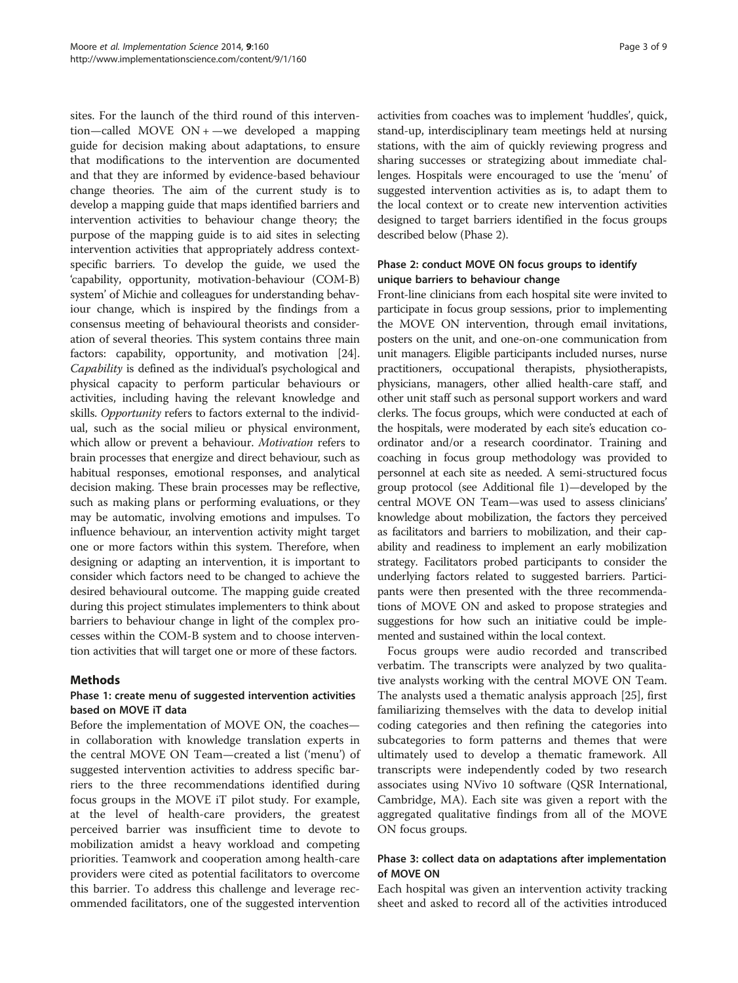sites. For the launch of the third round of this intervention—called MOVE  $ON +$ —we developed a mapping guide for decision making about adaptations, to ensure that modifications to the intervention are documented and that they are informed by evidence-based behaviour change theories. The aim of the current study is to develop a mapping guide that maps identified barriers and intervention activities to behaviour change theory; the purpose of the mapping guide is to aid sites in selecting intervention activities that appropriately address contextspecific barriers. To develop the guide, we used the 'capability, opportunity, motivation-behaviour (COM-B) system' of Michie and colleagues for understanding behaviour change, which is inspired by the findings from a consensus meeting of behavioural theorists and consideration of several theories. This system contains three main factors: capability, opportunity, and motivation [[24](#page-8-0)]. Capability is defined as the individual's psychological and physical capacity to perform particular behaviours or activities, including having the relevant knowledge and skills. Opportunity refers to factors external to the individual, such as the social milieu or physical environment, which allow or prevent a behaviour. Motivation refers to brain processes that energize and direct behaviour, such as habitual responses, emotional responses, and analytical decision making. These brain processes may be reflective, such as making plans or performing evaluations, or they may be automatic, involving emotions and impulses. To influence behaviour, an intervention activity might target one or more factors within this system. Therefore, when designing or adapting an intervention, it is important to consider which factors need to be changed to achieve the desired behavioural outcome. The mapping guide created during this project stimulates implementers to think about barriers to behaviour change in light of the complex processes within the COM-B system and to choose intervention activities that will target one or more of these factors.

### Methods

## Phase 1: create menu of suggested intervention activities based on MOVE iT data

Before the implementation of MOVE ON, the coaches in collaboration with knowledge translation experts in the central MOVE ON Team—created a list ('menu') of suggested intervention activities to address specific barriers to the three recommendations identified during focus groups in the MOVE iT pilot study. For example, at the level of health-care providers, the greatest perceived barrier was insufficient time to devote to mobilization amidst a heavy workload and competing priorities. Teamwork and cooperation among health-care providers were cited as potential facilitators to overcome this barrier. To address this challenge and leverage recommended facilitators, one of the suggested intervention

activities from coaches was to implement 'huddles', quick, stand-up, interdisciplinary team meetings held at nursing stations, with the aim of quickly reviewing progress and sharing successes or strategizing about immediate challenges. Hospitals were encouraged to use the 'menu' of suggested intervention activities as is, to adapt them to the local context or to create new intervention activities designed to target barriers identified in the focus groups described below (Phase 2).

## Phase 2: conduct MOVE ON focus groups to identify unique barriers to behaviour change

Front-line clinicians from each hospital site were invited to participate in focus group sessions, prior to implementing the MOVE ON intervention, through email invitations, posters on the unit, and one-on-one communication from unit managers. Eligible participants included nurses, nurse practitioners, occupational therapists, physiotherapists, physicians, managers, other allied health-care staff, and other unit staff such as personal support workers and ward clerks. The focus groups, which were conducted at each of the hospitals, were moderated by each site's education coordinator and/or a research coordinator. Training and coaching in focus group methodology was provided to personnel at each site as needed. A semi-structured focus group protocol (see Additional file [1](#page-7-0))—developed by the central MOVE ON Team—was used to assess clinicians' knowledge about mobilization, the factors they perceived as facilitators and barriers to mobilization, and their capability and readiness to implement an early mobilization strategy. Facilitators probed participants to consider the underlying factors related to suggested barriers. Participants were then presented with the three recommendations of MOVE ON and asked to propose strategies and suggestions for how such an initiative could be implemented and sustained within the local context.

Focus groups were audio recorded and transcribed verbatim. The transcripts were analyzed by two qualitative analysts working with the central MOVE ON Team. The analysts used a thematic analysis approach [\[25](#page-8-0)], first familiarizing themselves with the data to develop initial coding categories and then refining the categories into subcategories to form patterns and themes that were ultimately used to develop a thematic framework. All transcripts were independently coded by two research associates using NVivo 10 software (QSR International, Cambridge, MA). Each site was given a report with the aggregated qualitative findings from all of the MOVE ON focus groups.

# Phase 3: collect data on adaptations after implementation of MOVE ON

Each hospital was given an intervention activity tracking sheet and asked to record all of the activities introduced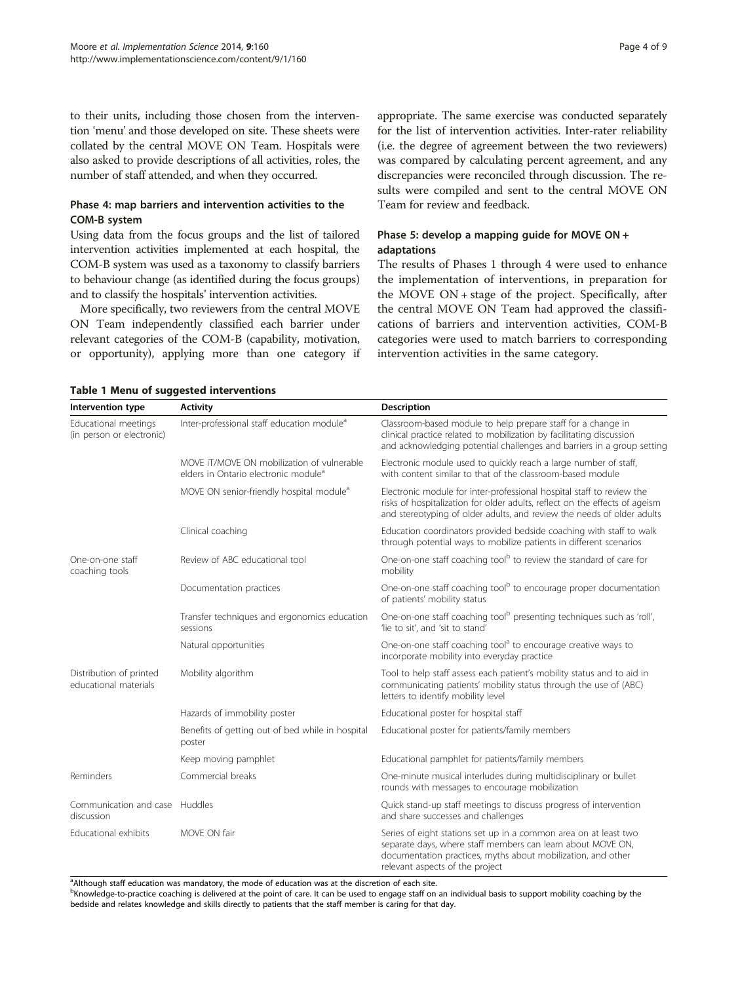<span id="page-3-0"></span>to their units, including those chosen from the intervention 'menu' and those developed on site. These sheets were collated by the central MOVE ON Team. Hospitals were also asked to provide descriptions of all activities, roles, the number of staff attended, and when they occurred.

## Phase 4: map barriers and intervention activities to the COM-B system

Using data from the focus groups and the list of tailored intervention activities implemented at each hospital, the COM-B system was used as a taxonomy to classify barriers to behaviour change (as identified during the focus groups) and to classify the hospitals' intervention activities.

More specifically, two reviewers from the central MOVE ON Team independently classified each barrier under relevant categories of the COM-B (capability, motivation, or opportunity), applying more than one category if

appropriate. The same exercise was conducted separately for the list of intervention activities. Inter-rater reliability (i.e. the degree of agreement between the two reviewers) was compared by calculating percent agreement, and any discrepancies were reconciled through discussion. The results were compiled and sent to the central MOVE ON Team for review and feedback.

# Phase 5: develop a mapping guide for MOVE ON + adaptations

The results of Phases 1 through 4 were used to enhance the implementation of interventions, in preparation for the MOVE ON + stage of the project. Specifically, after the central MOVE ON Team had approved the classifications of barriers and intervention activities, COM-B categories were used to match barriers to corresponding intervention activities in the same category.

| Intervention type                                 | <b>Activity</b>                                                                                | Description                                                                                                                                                                                                                        |
|---------------------------------------------------|------------------------------------------------------------------------------------------------|------------------------------------------------------------------------------------------------------------------------------------------------------------------------------------------------------------------------------------|
| Educational meetings<br>(in person or electronic) | Inter-professional staff education module <sup>a</sup>                                         | Classroom-based module to help prepare staff for a change in<br>clinical practice related to mobilization by facilitating discussion<br>and acknowledging potential challenges and barriers in a group setting                     |
|                                                   | MOVE iT/MOVE ON mobilization of vulnerable<br>elders in Ontario electronic module <sup>a</sup> | Electronic module used to quickly reach a large number of staff,<br>with content similar to that of the classroom-based module                                                                                                     |
|                                                   | MOVE ON senior-friendly hospital module <sup>a</sup>                                           | Electronic module for inter-professional hospital staff to review the<br>risks of hospitalization for older adults, reflect on the effects of ageism<br>and stereotyping of older adults, and review the needs of older adults     |
|                                                   | Clinical coaching                                                                              | Education coordinators provided bedside coaching with staff to walk<br>through potential ways to mobilize patients in different scenarios                                                                                          |
| One-on-one staff<br>coaching tools                | Review of ABC educational tool                                                                 | One-on-one staff coaching tool <sup>b</sup> to review the standard of care for<br>mobility                                                                                                                                         |
|                                                   | Documentation practices                                                                        | One-on-one staff coaching tool <sup>b</sup> to encourage proper documentation<br>of patients' mobility status                                                                                                                      |
|                                                   | Transfer techniques and ergonomics education<br>sessions                                       | One-on-one staff coaching tool <sup>b</sup> presenting techniques such as 'roll',<br>'lie to sit', and 'sit to stand'                                                                                                              |
|                                                   | Natural opportunities                                                                          | One-on-one staff coaching tool <sup>a</sup> to encourage creative ways to<br>incorporate mobility into everyday practice                                                                                                           |
| Distribution of printed<br>educational materials  | Mobility algorithm                                                                             | Tool to help staff assess each patient's mobility status and to aid in<br>communicating patients' mobility status through the use of (ABC)<br>letters to identify mobility level                                                   |
|                                                   | Hazards of immobility poster                                                                   | Educational poster for hospital staff                                                                                                                                                                                              |
|                                                   | Benefits of getting out of bed while in hospital<br>poster                                     | Educational poster for patients/family members                                                                                                                                                                                     |
|                                                   | Keep moving pamphlet                                                                           | Educational pamphlet for patients/family members                                                                                                                                                                                   |
| Reminders                                         | Commercial breaks                                                                              | One-minute musical interludes during multidisciplinary or bullet<br>rounds with messages to encourage mobilization                                                                                                                 |
| Communication and case Huddles<br>discussion      |                                                                                                | Quick stand-up staff meetings to discuss progress of intervention<br>and share successes and challenges                                                                                                                            |
| Educational exhibits                              | MOVE ON fair                                                                                   | Series of eight stations set up in a common area on at least two<br>separate days, where staff members can learn about MOVE ON,<br>documentation practices, myths about mobilization, and other<br>relevant aspects of the project |

#### Table 1 Menu of suggested interventions

<sup>a</sup>Although staff education was mandatory, the mode of education was at the discretion of each site.

<sub>.</sub><br>BKnowledge-to-practice coaching is delivered at the point of care. It can be used to engage staff on an individual basis to support mobility coaching by the bedside and relates knowledge and skills directly to patients that the staff member is caring for that day.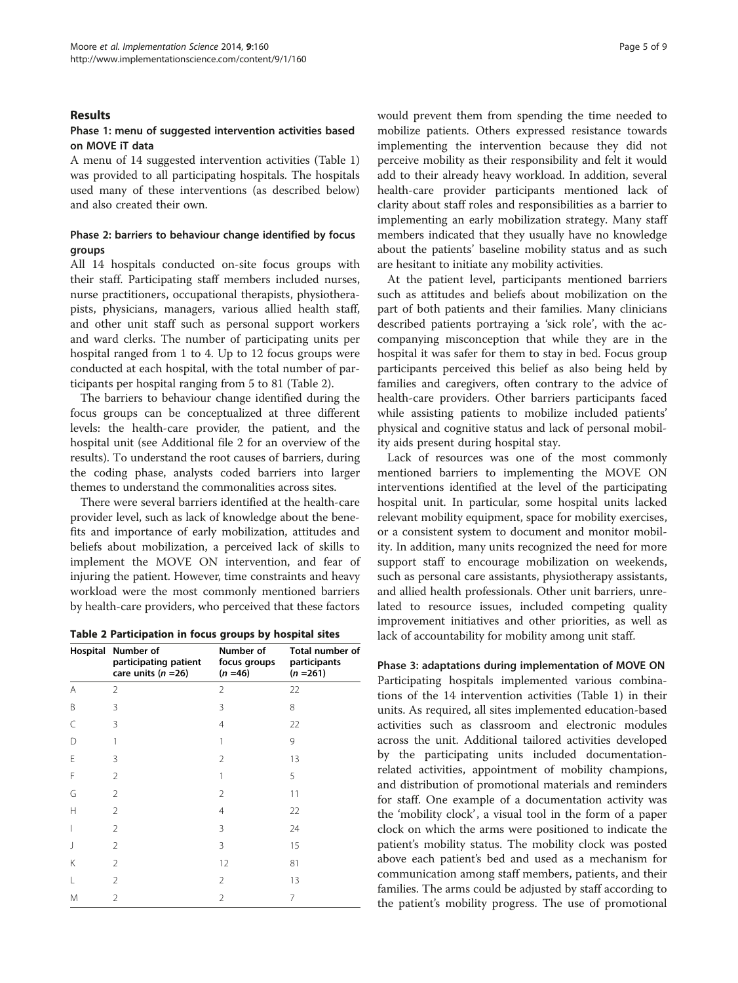#### Results

#### Phase 1: menu of suggested intervention activities based on MOVE iT data

A menu of 14 suggested intervention activities (Table [1](#page-3-0)) was provided to all participating hospitals. The hospitals used many of these interventions (as described below) and also created their own.

#### Phase 2: barriers to behaviour change identified by focus groups

All 14 hospitals conducted on-site focus groups with their staff. Participating staff members included nurses, nurse practitioners, occupational therapists, physiotherapists, physicians, managers, various allied health staff, and other unit staff such as personal support workers and ward clerks. The number of participating units per hospital ranged from 1 to 4. Up to 12 focus groups were conducted at each hospital, with the total number of participants per hospital ranging from 5 to 81 (Table 2).

The barriers to behaviour change identified during the focus groups can be conceptualized at three different levels: the health-care provider, the patient, and the hospital unit (see Additional file [2](#page-7-0) for an overview of the results). To understand the root causes of barriers, during the coding phase, analysts coded barriers into larger themes to understand the commonalities across sites.

There were several barriers identified at the health-care provider level, such as lack of knowledge about the benefits and importance of early mobilization, attitudes and beliefs about mobilization, a perceived lack of skills to implement the MOVE ON intervention, and fear of injuring the patient. However, time constraints and heavy workload were the most commonly mentioned barriers by health-care providers, who perceived that these factors

|   | Hospital Number of<br>participating patient<br>care units $(n = 26)$ | Number of<br>focus groups<br>$(n = 46)$ | Total number of<br>participants<br>$(n = 261)$ |
|---|----------------------------------------------------------------------|-----------------------------------------|------------------------------------------------|
| A | 2                                                                    | 2                                       | 22                                             |
| B | 3                                                                    | 3                                       | 8                                              |
| C | 3                                                                    | 4                                       | 22                                             |
| D | 1                                                                    | 1                                       | 9                                              |
| E | 3                                                                    | 2                                       | 13                                             |
| F | $\mathfrak{D}$                                                       | 1                                       | 5                                              |
| G | $\overline{2}$                                                       | $\mathfrak{D}$                          | 11                                             |
| H | $\overline{2}$                                                       | 4                                       | 22                                             |
|   | $\overline{2}$                                                       | 3                                       | 24                                             |
|   | $\overline{2}$                                                       | 3                                       | 15                                             |
| Κ | $\mathfrak{D}$                                                       | 12                                      | 81                                             |
|   | $\overline{2}$                                                       | 2                                       | 13                                             |
| M | 2                                                                    | 2                                       | 7                                              |
|   |                                                                      |                                         |                                                |

would prevent them from spending the time needed to mobilize patients. Others expressed resistance towards implementing the intervention because they did not perceive mobility as their responsibility and felt it would add to their already heavy workload. In addition, several health-care provider participants mentioned lack of clarity about staff roles and responsibilities as a barrier to implementing an early mobilization strategy. Many staff members indicated that they usually have no knowledge about the patients' baseline mobility status and as such are hesitant to initiate any mobility activities.

At the patient level, participants mentioned barriers such as attitudes and beliefs about mobilization on the part of both patients and their families. Many clinicians described patients portraying a 'sick role', with the accompanying misconception that while they are in the hospital it was safer for them to stay in bed. Focus group participants perceived this belief as also being held by families and caregivers, often contrary to the advice of health-care providers. Other barriers participants faced while assisting patients to mobilize included patients' physical and cognitive status and lack of personal mobility aids present during hospital stay.

Lack of resources was one of the most commonly mentioned barriers to implementing the MOVE ON interventions identified at the level of the participating hospital unit. In particular, some hospital units lacked relevant mobility equipment, space for mobility exercises, or a consistent system to document and monitor mobility. In addition, many units recognized the need for more support staff to encourage mobilization on weekends, such as personal care assistants, physiotherapy assistants, and allied health professionals. Other unit barriers, unrelated to resource issues, included competing quality improvement initiatives and other priorities, as well as lack of accountability for mobility among unit staff.

Phase 3: adaptations during implementation of MOVE ON Participating hospitals implemented various combinations of the 14 intervention activities (Table [1](#page-3-0)) in their units. As required, all sites implemented education-based activities such as classroom and electronic modules across the unit. Additional tailored activities developed by the participating units included documentationrelated activities, appointment of mobility champions, and distribution of promotional materials and reminders for staff. One example of a documentation activity was the 'mobility clock' , a visual tool in the form of a paper clock on which the arms were positioned to indicate the patient's mobility status. The mobility clock was posted above each patient's bed and used as a mechanism for communication among staff members, patients, and their families. The arms could be adjusted by staff according to the patient's mobility progress. The use of promotional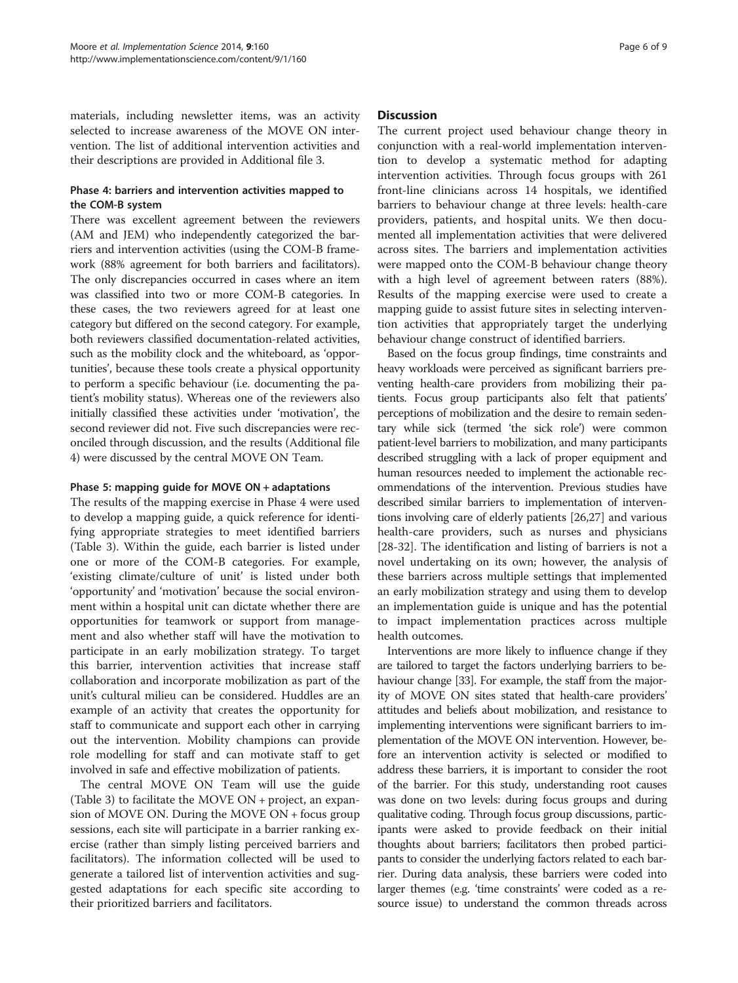materials, including newsletter items, was an activity selected to increase awareness of the MOVE ON intervention. The list of additional intervention activities and their descriptions are provided in Additional file [3.](#page-7-0)

### Phase 4: barriers and intervention activities mapped to the COM-B system

There was excellent agreement between the reviewers (AM and JEM) who independently categorized the barriers and intervention activities (using the COM-B framework (88% agreement for both barriers and facilitators). The only discrepancies occurred in cases where an item was classified into two or more COM-B categories. In these cases, the two reviewers agreed for at least one category but differed on the second category. For example, both reviewers classified documentation-related activities, such as the mobility clock and the whiteboard, as 'opportunities', because these tools create a physical opportunity to perform a specific behaviour (i.e. documenting the patient's mobility status). Whereas one of the reviewers also initially classified these activities under 'motivation', the second reviewer did not. Five such discrepancies were reconciled through discussion, and the results (Additional file [4\)](#page-7-0) were discussed by the central MOVE ON Team.

#### Phase 5: mapping guide for MOVE ON + adaptations

The results of the mapping exercise in Phase 4 were used to develop a mapping guide, a quick reference for identifying appropriate strategies to meet identified barriers (Table [3\)](#page-6-0). Within the guide, each barrier is listed under one or more of the COM-B categories. For example, 'existing climate/culture of unit' is listed under both 'opportunity' and 'motivation' because the social environment within a hospital unit can dictate whether there are opportunities for teamwork or support from management and also whether staff will have the motivation to participate in an early mobilization strategy. To target this barrier, intervention activities that increase staff collaboration and incorporate mobilization as part of the unit's cultural milieu can be considered. Huddles are an example of an activity that creates the opportunity for staff to communicate and support each other in carrying out the intervention. Mobility champions can provide role modelling for staff and can motivate staff to get involved in safe and effective mobilization of patients.

The central MOVE ON Team will use the guide (Table [3\)](#page-6-0) to facilitate the MOVE ON + project, an expansion of MOVE ON. During the MOVE ON + focus group sessions, each site will participate in a barrier ranking exercise (rather than simply listing perceived barriers and facilitators). The information collected will be used to generate a tailored list of intervention activities and suggested adaptations for each specific site according to their prioritized barriers and facilitators.

#### **Discussion**

The current project used behaviour change theory in conjunction with a real-world implementation intervention to develop a systematic method for adapting intervention activities. Through focus groups with 261 front-line clinicians across 14 hospitals, we identified barriers to behaviour change at three levels: health-care providers, patients, and hospital units. We then documented all implementation activities that were delivered across sites. The barriers and implementation activities were mapped onto the COM-B behaviour change theory with a high level of agreement between raters (88%). Results of the mapping exercise were used to create a mapping guide to assist future sites in selecting intervention activities that appropriately target the underlying behaviour change construct of identified barriers.

Based on the focus group findings, time constraints and heavy workloads were perceived as significant barriers preventing health-care providers from mobilizing their patients. Focus group participants also felt that patients' perceptions of mobilization and the desire to remain sedentary while sick (termed 'the sick role') were common patient-level barriers to mobilization, and many participants described struggling with a lack of proper equipment and human resources needed to implement the actionable recommendations of the intervention. Previous studies have described similar barriers to implementation of interventions involving care of elderly patients [\[26,27](#page-8-0)] and various health-care providers, such as nurses and physicians [[28-32](#page-8-0)]. The identification and listing of barriers is not a novel undertaking on its own; however, the analysis of these barriers across multiple settings that implemented an early mobilization strategy and using them to develop an implementation guide is unique and has the potential to impact implementation practices across multiple health outcomes.

Interventions are more likely to influence change if they are tailored to target the factors underlying barriers to behaviour change [\[33\]](#page-8-0). For example, the staff from the majority of MOVE ON sites stated that health-care providers' attitudes and beliefs about mobilization, and resistance to implementing interventions were significant barriers to implementation of the MOVE ON intervention. However, before an intervention activity is selected or modified to address these barriers, it is important to consider the root of the barrier. For this study, understanding root causes was done on two levels: during focus groups and during qualitative coding. Through focus group discussions, participants were asked to provide feedback on their initial thoughts about barriers; facilitators then probed participants to consider the underlying factors related to each barrier. During data analysis, these barriers were coded into larger themes (e.g. 'time constraints' were coded as a resource issue) to understand the common threads across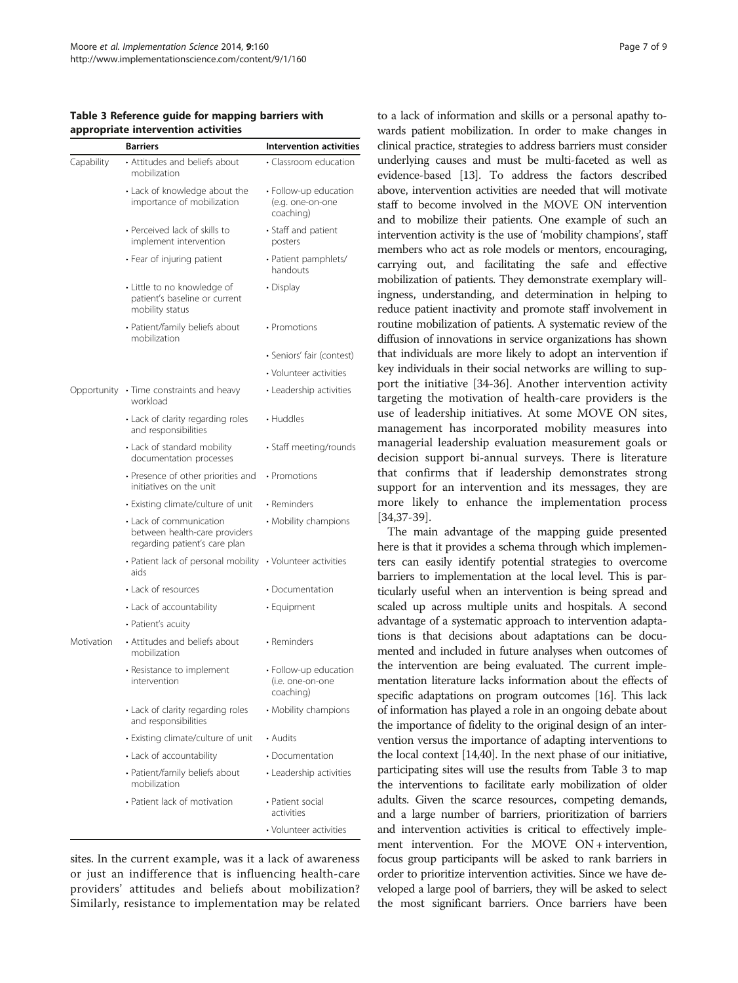<span id="page-6-0"></span>Table 3 Reference guide for mapping barriers with appropriate intervention activities

|            | <b>Barriers</b>                                                                           | Intervention activities                                |
|------------|-------------------------------------------------------------------------------------------|--------------------------------------------------------|
| Capability | • Attitudes and beliefs about<br>mobilization                                             | • Classroom education                                  |
|            | • Lack of knowledge about the<br>importance of mobilization                               | • Follow-up education<br>(e.g. one-on-one<br>coaching) |
|            | • Perceived lack of skills to<br>implement intervention                                   | • Staff and patient<br>posters                         |
|            | • Fear of injuring patient                                                                | • Patient pamphlets/<br>handouts                       |
|            | • Little to no knowledge of<br>patient's baseline or current<br>mobility status           | • Display                                              |
|            | · Patient/family beliefs about<br>mobilization                                            | • Promotions                                           |
|            |                                                                                           | • Seniors' fair (contest)                              |
|            |                                                                                           | • Volunteer activities                                 |
|            | Opportunity $\cdot$ Time constraints and heavy<br>workload                                | • Leadership activities                                |
|            | • Lack of clarity regarding roles<br>and responsibilities                                 | • Huddles                                              |
|            | • Lack of standard mobility<br>documentation processes                                    | • Staff meeting/rounds                                 |
|            | • Presence of other priorities and<br>initiatives on the unit                             | • Promotions                                           |
|            | · Existing climate/culture of unit                                                        | $\cdot$ Reminders                                      |
|            | • Lack of communication<br>between health-care providers<br>regarding patient's care plan | • Mobility champions                                   |
|            | • Patient lack of personal mobility<br>aids                                               | • Volunteer activities                                 |
|            | • Lack of resources                                                                       | • Documentation                                        |
|            | • Lack of accountability                                                                  | • Equipment                                            |
|            | • Patient's acuity                                                                        |                                                        |
| Motivation | • Attitudes and beliefs about<br>mobilization                                             | • Reminders                                            |
|            | • Resistance to implement<br>intervention                                                 | • Follow-up education<br>(i.e. one-on-one<br>coaching) |
|            | • Lack of clarity regarding roles<br>and responsibilities                                 | • Mobility champions                                   |
|            | · Existing climate/culture of unit                                                        | • Audits                                               |
|            | • Lack of accountability                                                                  | • Documentation                                        |
|            | • Patient/family beliefs about<br>mobilization                                            | • Leadership activities                                |
|            | • Patient lack of motivation                                                              | • Patient social<br>activities                         |
|            |                                                                                           | • Volunteer activities                                 |

sites. In the current example, was it a lack of awareness or just an indifference that is influencing health-care providers' attitudes and beliefs about mobilization? Similarly, resistance to implementation may be related

to a lack of information and skills or a personal apathy towards patient mobilization. In order to make changes in clinical practice, strategies to address barriers must consider underlying causes and must be multi-faceted as well as evidence-based [\[13](#page-8-0)]. To address the factors described above, intervention activities are needed that will motivate staff to become involved in the MOVE ON intervention and to mobilize their patients. One example of such an intervention activity is the use of 'mobility champions', staff members who act as role models or mentors, encouraging, carrying out, and facilitating the safe and effective mobilization of patients. They demonstrate exemplary willingness, understanding, and determination in helping to reduce patient inactivity and promote staff involvement in routine mobilization of patients. A systematic review of the diffusion of innovations in service organizations has shown that individuals are more likely to adopt an intervention if key individuals in their social networks are willing to support the initiative [\[34-36](#page-8-0)]. Another intervention activity targeting the motivation of health-care providers is the use of leadership initiatives. At some MOVE ON sites, management has incorporated mobility measures into managerial leadership evaluation measurement goals or decision support bi-annual surveys. There is literature that confirms that if leadership demonstrates strong support for an intervention and its messages, they are more likely to enhance the implementation process [[34,37-39\]](#page-8-0).

The main advantage of the mapping guide presented here is that it provides a schema through which implementers can easily identify potential strategies to overcome barriers to implementation at the local level. This is particularly useful when an intervention is being spread and scaled up across multiple units and hospitals. A second advantage of a systematic approach to intervention adaptations is that decisions about adaptations can be documented and included in future analyses when outcomes of the intervention are being evaluated. The current implementation literature lacks information about the effects of specific adaptations on program outcomes [\[16\]](#page-8-0). This lack of information has played a role in an ongoing debate about the importance of fidelity to the original design of an intervention versus the importance of adapting interventions to the local context [\[14,40\]](#page-8-0). In the next phase of our initiative, participating sites will use the results from Table 3 to map the interventions to facilitate early mobilization of older adults. Given the scarce resources, competing demands, and a large number of barriers, prioritization of barriers and intervention activities is critical to effectively implement intervention. For the MOVE ON + intervention, focus group participants will be asked to rank barriers in order to prioritize intervention activities. Since we have developed a large pool of barriers, they will be asked to select the most significant barriers. Once barriers have been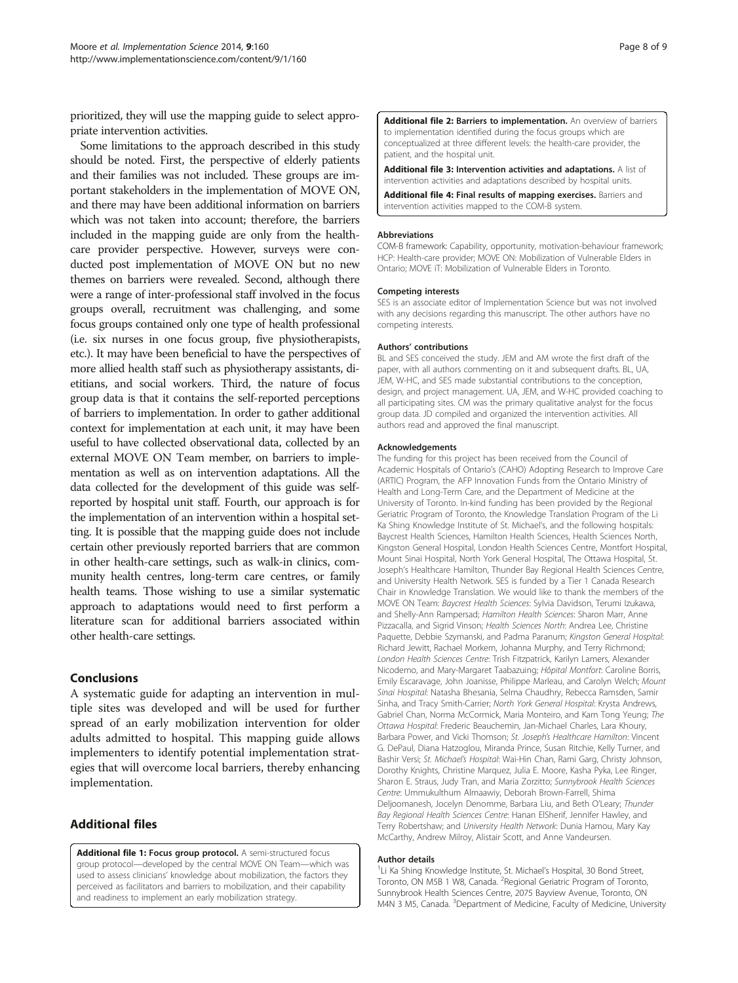<span id="page-7-0"></span>prioritized, they will use the mapping guide to select appropriate intervention activities.

Some limitations to the approach described in this study should be noted. First, the perspective of elderly patients and their families was not included. These groups are important stakeholders in the implementation of MOVE ON, and there may have been additional information on barriers which was not taken into account; therefore, the barriers included in the mapping guide are only from the healthcare provider perspective. However, surveys were conducted post implementation of MOVE ON but no new themes on barriers were revealed. Second, although there were a range of inter-professional staff involved in the focus groups overall, recruitment was challenging, and some focus groups contained only one type of health professional (i.e. six nurses in one focus group, five physiotherapists, etc.). It may have been beneficial to have the perspectives of more allied health staff such as physiotherapy assistants, dietitians, and social workers. Third, the nature of focus group data is that it contains the self-reported perceptions of barriers to implementation. In order to gather additional context for implementation at each unit, it may have been useful to have collected observational data, collected by an external MOVE ON Team member, on barriers to implementation as well as on intervention adaptations. All the data collected for the development of this guide was selfreported by hospital unit staff. Fourth, our approach is for the implementation of an intervention within a hospital setting. It is possible that the mapping guide does not include certain other previously reported barriers that are common in other health-care settings, such as walk-in clinics, community health centres, long-term care centres, or family health teams. Those wishing to use a similar systematic approach to adaptations would need to first perform a literature scan for additional barriers associated within other health-care settings.

### Conclusions

A systematic guide for adapting an intervention in multiple sites was developed and will be used for further spread of an early mobilization intervention for older adults admitted to hospital. This mapping guide allows implementers to identify potential implementation strategies that will overcome local barriers, thereby enhancing implementation.

# Additional files

[Additional file 1:](http://www.implementationscience.com/content/supplementary/s13012-014-0160-6-s1.docx) Focus group protocol. A semi-structured focus group protocol—developed by the central MOVE ON Team—which was used to assess clinicians' knowledge about mobilization, the factors they perceived as facilitators and barriers to mobilization, and their capability and readiness to implement an early mobilization strategy.

[Additional file 2:](http://www.implementationscience.com/content/supplementary/s13012-014-0160-6-s2.docx) Barriers to implementation. An overview of barriers to implementation identified during the focus groups which are conceptualized at three different levels: the health-care provider, the patient, and the hospital unit.

[Additional file 3:](http://www.implementationscience.com/content/supplementary/s13012-014-0160-6-s3.docx) Intervention activities and adaptations. A list of intervention activities and adaptations described by hospital units.

[Additional file 4:](http://www.implementationscience.com/content/supplementary/s13012-014-0160-6-s4.docx) Final results of mapping exercises. Barriers and intervention activities mapped to the COM-B system.

#### Abbreviations

COM-B framework: Capability, opportunity, motivation-behaviour framework; HCP: Health-care provider; MOVE ON: Mobilization of Vulnerable Elders in Ontario; MOVE iT: Mobilization of Vulnerable Elders in Toronto.

#### Competing interests

SES is an associate editor of Implementation Science but was not involved with any decisions regarding this manuscript. The other authors have no competing interests.

#### Authors' contributions

BL and SES conceived the study. JEM and AM wrote the first draft of the paper, with all authors commenting on it and subsequent drafts. BL, UA, JEM, W-HC, and SES made substantial contributions to the conception, design, and project management. UA, JEM, and W-HC provided coaching to all participating sites. CM was the primary qualitative analyst for the focus group data. JD compiled and organized the intervention activities. All authors read and approved the final manuscript.

#### Acknowledgements

The funding for this project has been received from the Council of Academic Hospitals of Ontario's (CAHO) Adopting Research to Improve Care (ARTIC) Program, the AFP Innovation Funds from the Ontario Ministry of Health and Long-Term Care, and the Department of Medicine at the University of Toronto. In-kind funding has been provided by the Regional Geriatric Program of Toronto, the Knowledge Translation Program of the Li Ka Shing Knowledge Institute of St. Michael's, and the following hospitals: Baycrest Health Sciences, Hamilton Health Sciences, Health Sciences North, Kingston General Hospital, London Health Sciences Centre, Montfort Hospital, Mount Sinai Hospital, North York General Hospital, The Ottawa Hospital, St. Joseph's Healthcare Hamilton, Thunder Bay Regional Health Sciences Centre, and University Health Network. SES is funded by a Tier 1 Canada Research Chair in Knowledge Translation. We would like to thank the members of the MOVE ON Team: Baycrest Health Sciences: Sylvia Davidson, Terumi Izukawa, and Shelly-Ann Rampersad; Hamilton Health Sciences: Sharon Marr, Anne Pizzacalla, and Sigrid Vinson; Health Sciences North: Andrea Lee, Christine Paquette, Debbie Szymanski, and Padma Paranum; Kingston General Hospital: Richard Jewitt, Rachael Morkem, Johanna Murphy, and Terry Richmond; London Health Sciences Centre: Trish Fitzpatrick, Karilyn Lamers, Alexander Nicodemo, and Mary-Margaret Taabazuing; Hôpital Montfort: Caroline Borris, Emily Escaravage, John Joanisse, Philippe Marleau, and Carolyn Welch; Mount Sinai Hospital: Natasha Bhesania, Selma Chaudhry, Rebecca Ramsden, Samir Sinha, and Tracy Smith-Carrier; North York General Hospital: Krysta Andrews, Gabriel Chan, Norma McCormick, Maria Monteiro, and Kam Tong Yeung; The Ottawa Hospital: Frederic Beauchemin, Jan-Michael Charles, Lara Khoury, Barbara Power, and Vicki Thomson; St. Joseph's Healthcare Hamilton: Vincent G. DePaul, Diana Hatzoglou, Miranda Prince, Susan Ritchie, Kelly Turner, and Bashir Versi; St. Michael's Hospital: Wai-Hin Chan, Rami Garg, Christy Johnson, Dorothy Knights, Christine Marquez, Julia E. Moore, Kasha Pyka, Lee Ringer, Sharon E. Straus, Judy Tran, and Maria Zorzitto; Sunnybrook Health Sciences Centre: Ummukulthum Almaawiy, Deborah Brown-Farrell, Shima Deljoomanesh, Jocelyn Denomme, Barbara Liu, and Beth O'Leary; Thunder Bay Regional Health Sciences Centre: Hanan ElSherif, Jennifer Hawley, and Terry Robertshaw; and University Health Network: Dunia Hamou, Mary Kay McCarthy, Andrew Milroy, Alistair Scott, and Anne Vandeursen.

#### Author details

<sup>1</sup>Li Ka Shing Knowledge Institute, St. Michael's Hospital, 30 Bond Street, Toronto, ON M5B 1 W8, Canada. <sup>2</sup> Regional Geriatric Program of Toronto, Sunnybrook Health Sciences Centre, 2075 Bayview Avenue, Toronto, ON M4N 3 M5, Canada. <sup>3</sup>Department of Medicine, Faculty of Medicine, University